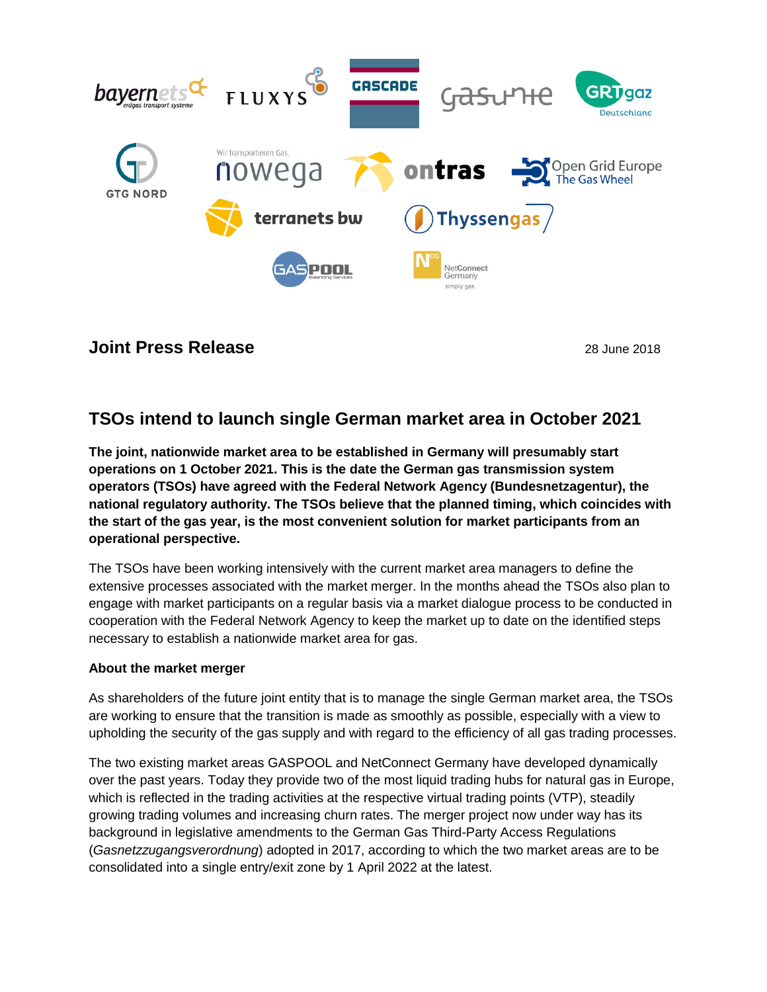

## **Joint Press Release** 28 June 2018

# **TSOs intend to launch single German market area in October 2021**

**The joint, nationwide market area to be established in Germany will presumably start operations on 1 October 2021. This is the date the German gas transmission system operators (TSOs) have agreed with the Federal Network Agency (Bundesnetzagentur), the national regulatory authority. The TSOs believe that the planned timing, which coincides with the start of the gas year, is the most convenient solution for market participants from an operational perspective.** 

The TSOs have been working intensively with the current market area managers to define the extensive processes associated with the market merger. In the months ahead the TSOs also plan to engage with market participants on a regular basis via a market dialogue process to be conducted in cooperation with the Federal Network Agency to keep the market up to date on the identified steps necessary to establish a nationwide market area for gas.

### **About the market merger**

As shareholders of the future joint entity that is to manage the single German market area, the TSOs are working to ensure that the transition is made as smoothly as possible, especially with a view to upholding the security of the gas supply and with regard to the efficiency of all gas trading processes.

The two existing market areas GASPOOL and NetConnect Germany have developed dynamically over the past years. Today they provide two of the most liquid trading hubs for natural gas in Europe, which is reflected in the trading activities at the respective virtual trading points (VTP), steadily growing trading volumes and increasing churn rates. The merger project now under way has its background in legislative amendments to the German Gas Third-Party Access Regulations (*Gasnetzzugangsverordnung*) adopted in 2017, according to which the two market areas are to be consolidated into a single entry/exit zone by 1 April 2022 at the latest.